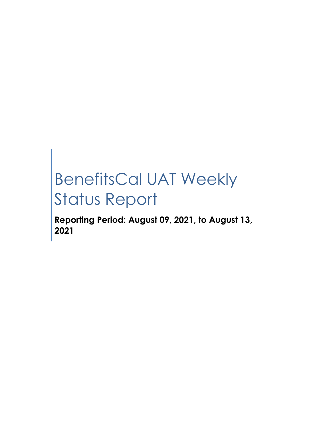# BenefitsCal UAT Weekly Status Report

**Reporting Period: August 09, 2021, to August 13, 2021**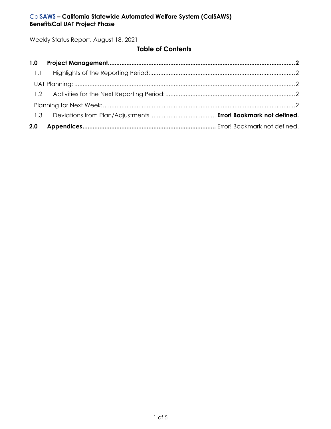#### Cal**SAWS – California Statewide Automated Welfare System (CalSAWS) BenefitsCal UAT Project Phase**

Weekly Status Report, August 18, 2021

# **Table of Contents**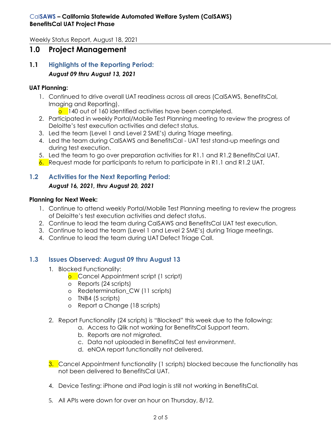# <span id="page-2-0"></span>**1.0 Project Management**

# <span id="page-2-1"></span>**1.1 Highlights of the Reporting Period:** *August 09 thru August 13, 2021*

#### <span id="page-2-2"></span>**UAT Planning:**

- 1. Continued to drive overall UAT readiness across all areas (CalSAWS, BenefitsCal, Imaging and Reporting).
	- $\overline{0}$  140 out of 160 identified activities have been completed.
- 2. Participated in weekly Portal/Mobile Test Planning meeting to review the progress of Deloitte's test execution activities and defect status.
- 3. Led the team (Level 1 and Level 2 SME's) during Triage meeting.
- 4. Led the team during CalSAWS and BenefitsCal UAT test stand-up meetings and during test execution.
- 5. Led the team to go over preparation activities for R1.1 and R1.2 BenefitsCal UAT.
- 6. Request made for participants to return to participate in R1.1 and R1.2 UAT.

#### <span id="page-2-3"></span>**1.2 Activities for the Next Reporting Period:** *August 16, 2021, thru August 20, 2021*

#### <span id="page-2-4"></span>**Planning for Next Week:**

- 1. Continue to attend weekly Portal/Mobile Test Planning meeting to review the progress of Deloitte's test execution activities and defect status.
- 2. Continue to lead the team during CalSAWS and BenefitsCal UAT test execution.
- 3. Continue to lead the team (Level 1 and Level 2 SME's) during Triage meetings.
- 4. Continue to lead the team during UAT Defect Triage Call.

## **1.3 Issues Observed: August 09 thru August 13**

- 1. Blocked Functionality:
	- **o** Cancel Appointment script (1 script)
	- o Reports (24 scripts)
	- o Redetermination\_CW (11 scripts)
	- o TNB4 (5 scripts)
	- o Report a Change (18 scripts)
- 2. Report Functionality (24 scripts) is "Blocked" this week due to the following:
	- a. Access to Qlik not working for BenefitsCal Support team.
	- b. Reports are not migrated.
	- c. Data not uploaded in BenefitsCal test environment.
	- d. eNOA report functionality not delivered.
- 3. Cancel Appointment functionality (1 scripts) blocked because the functionality has not been delivered to BenefitsCal UAT.
- 4. Device Testing: iPhone and iPad login is still not working in BenefitsCal.
- 5. All APIs were down for over an hour on Thursday, 8/12.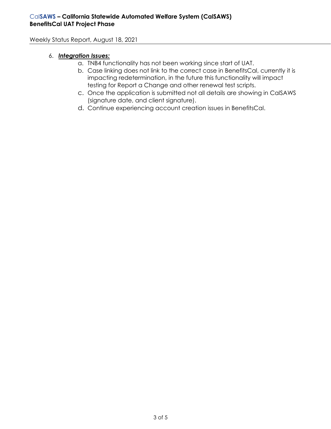#### 6. *Integration Issues:*

- a. TNB4 functionality has not been working since start of UAT.
- b. Case linking does not link to the correct case in BenefitsCal, currently it is impacting redetermination, in the future this functionality will impact testing for Report a Change and other renewal test scripts.
- c. Once the application is submitted not all details are showing in CalSAWS (signature date, and client signature).
- d. Continue experiencing account creation issues in BenefitsCal.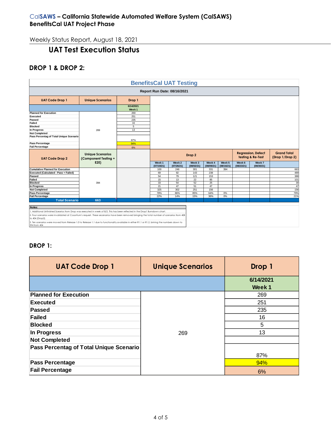# **UAT Test Execution Status**

## **DROP 1 & DROP 2:**

| <b>BenefitsCal UAT Testing</b>                                                                                                                                   |                                                 |        |                                 |                      |                      |                      |                                 |                      |                                                |                                       |
|------------------------------------------------------------------------------------------------------------------------------------------------------------------|-------------------------------------------------|--------|---------------------------------|----------------------|----------------------|----------------------|---------------------------------|----------------------|------------------------------------------------|---------------------------------------|
| Report Run Date: 08/16/2021                                                                                                                                      |                                                 |        |                                 |                      |                      |                      |                                 |                      |                                                |                                       |
| <b>UAT Code Drop 1</b>                                                                                                                                           | <b>Unique Scenarios</b>                         | Drop 1 |                                 |                      |                      |                      |                                 |                      |                                                |                                       |
|                                                                                                                                                                  | 6/14/2021<br>Week <sub>1</sub>                  |        |                                 |                      |                      |                      |                                 |                      |                                                |                                       |
| <b>Planned for Execution</b>                                                                                                                                     |                                                 | 269    |                                 |                      |                      |                      |                                 |                      |                                                |                                       |
| Executed                                                                                                                                                         |                                                 | 251    |                                 |                      |                      |                      |                                 |                      |                                                |                                       |
| Passed                                                                                                                                                           |                                                 | 235    |                                 |                      |                      |                      |                                 |                      |                                                |                                       |
| Failed                                                                                                                                                           |                                                 | 16     |                                 |                      |                      |                      |                                 |                      |                                                |                                       |
| <b>Blocked</b>                                                                                                                                                   |                                                 | 5      |                                 |                      |                      |                      |                                 |                      |                                                |                                       |
| In Progress                                                                                                                                                      | 269                                             | 13     |                                 |                      |                      |                      |                                 |                      |                                                |                                       |
| <b>Not Completed</b>                                                                                                                                             |                                                 |        |                                 |                      |                      |                      |                                 |                      |                                                |                                       |
| Pass Percentag of Total Unique Scenario                                                                                                                          |                                                 |        |                                 |                      |                      |                      |                                 |                      |                                                |                                       |
|                                                                                                                                                                  |                                                 | 87%    |                                 |                      |                      |                      |                                 |                      |                                                |                                       |
| Pass Percentage                                                                                                                                                  |                                                 | 94%    |                                 |                      |                      |                      |                                 |                      |                                                |                                       |
| <b>Fail Percentage</b>                                                                                                                                           |                                                 | 6%     |                                 |                      |                      |                      |                                 |                      |                                                |                                       |
| <b>UAT Code Drop 2</b>                                                                                                                                           | <b>Unique Scenarios</b><br>(Component Testing + |        |                                 |                      | Drop 2               |                      |                                 |                      | <b>Regression, Defect</b><br>testing & Re-Test | <b>Grand Total</b><br>(Drop 1/Drop 2) |
|                                                                                                                                                                  | E2E)                                            |        | Week <sub>1</sub><br>(07/19/21) | Week 2<br>(07/26/21) | Week 3<br>(08/02/21) | Week 4<br>(08/09/21) | Week <sub>5</sub><br>(08/16/21) | Week 6<br>(08/23/21) | Week 7<br>(08/30/21)                           |                                       |
| <b>Cumulative Planned for Execution</b>                                                                                                                          |                                                 |        |                                 |                      |                      |                      |                                 |                      |                                                |                                       |
|                                                                                                                                                                  |                                                 |        | 100                             | 246                  | 301                  | 331                  | 394                             |                      |                                                | 663                                   |
| Executed (Calculated - Pass + Failed)                                                                                                                            |                                                 |        | 69                              | 92                   | 143                  | 238                  |                                 |                      |                                                | 489                                   |
| Passed                                                                                                                                                           |                                                 |        | 54                              | 79                   | 121                  | 153                  |                                 |                      |                                                | 388                                   |
| Failed                                                                                                                                                           |                                                 |        | 15                              | 13                   | 22                   | 85                   |                                 |                      |                                                | 101                                   |
| <b>Blocked</b>                                                                                                                                                   | 394                                             |        | 33                              | 54                   | 52                   | 25                   |                                 |                      |                                                | 30                                    |
| In Progress                                                                                                                                                      |                                                 |        | 21                              | 47                   | 51                   | 47                   |                                 |                      |                                                | 47                                    |
| <b>Not Completed</b>                                                                                                                                             |                                                 |        | 325                             | 302                  | 251                  | 156                  |                                 |                      |                                                | 156                                   |
| Pass Percentage                                                                                                                                                  |                                                 |        | 78%                             | 86%                  | 85%                  | 64%                  | 0%                              |                      |                                                | 79%                                   |
| <b>Fail Percentage</b>                                                                                                                                           |                                                 |        | 22%                             | 14%                  | 15%                  | 36%                  | 0%                              |                      |                                                | 21%                                   |
| <b>Total Scenario</b>                                                                                                                                            | 663                                             |        |                                 |                      |                      |                      |                                 |                      |                                                |                                       |
|                                                                                                                                                                  |                                                 |        |                                 |                      |                      |                      |                                 |                      |                                                |                                       |
| Notes:                                                                                                                                                           |                                                 |        |                                 |                      |                      |                      |                                 |                      |                                                |                                       |
| 1. Additional Unfinished Scearios from Drop was executed in week of 8/2. This has been reflected in the Drop1 Burndown chart.                                    |                                                 |        |                                 |                      |                      |                      |                                 |                      |                                                |                                       |
| 2. Four scenarios were invalidated at Cosortium's request. These secenarios have been removed bringing the total number of scenarios from 408<br>to 404 (Drop2). |                                                 |        |                                 |                      |                      |                      |                                 |                      |                                                |                                       |

# **DROP 1:**

| <b>UAT Code Drop 1</b>                  | <b>Unique Scenarios</b> | Drop 1              |  |  |
|-----------------------------------------|-------------------------|---------------------|--|--|
|                                         |                         | 6/14/2021<br>Week 1 |  |  |
| <b>Planned for Execution</b>            |                         | 269                 |  |  |
| <b>Executed</b>                         |                         | 251                 |  |  |
| Passed                                  |                         | 235                 |  |  |
| <b>Failed</b>                           |                         | 16                  |  |  |
| <b>Blocked</b>                          |                         | 5                   |  |  |
| In Progress                             | 269                     | 13                  |  |  |
| <b>Not Completed</b>                    |                         |                     |  |  |
| Pass Percentag of Total Unique Scenario |                         |                     |  |  |
|                                         |                         | 87%                 |  |  |
| <b>Pass Percentage</b>                  |                         | 94%                 |  |  |
| <b>Fail Percentage</b>                  |                         | 6%                  |  |  |